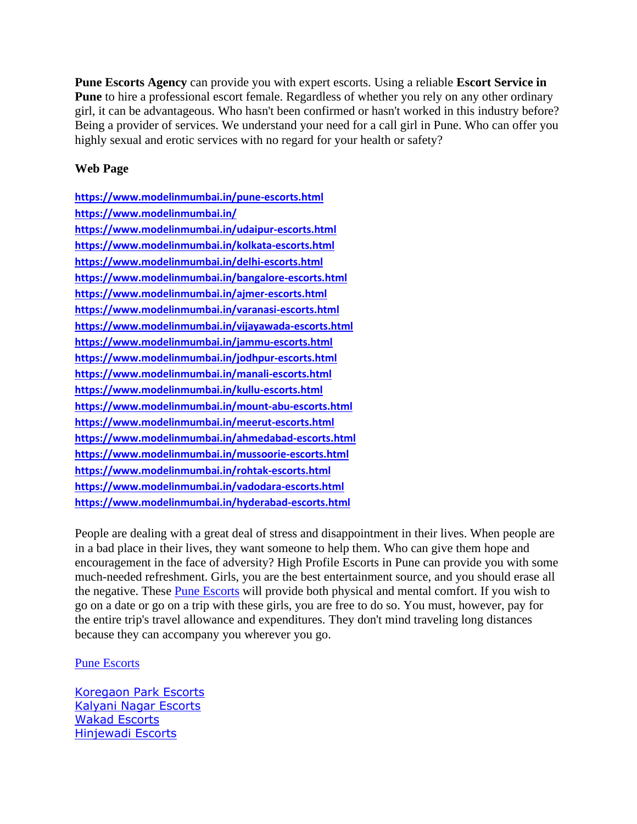**Pune Escorts Agency** can provide you with expert escorts. Using a reliable **[Escort Service in](https://www.modelinmumbai.in/pune-escorts.html)  [Pune](https://www.modelinmumbai.in/pune-escorts.html)** to hire a professional escort female. Regardless of whether you rely on any other ordinary girl, it can be advantageous. Who hasn't been confirmed or hasn't worked in this industry before? Being a provider of services. We understand your need for a call girl in Pune. Who can offer you highly sexual and erotic services with no regard for your health or safety?

## **Web Page**

**<https://www.modelinmumbai.in/pune-escorts.html> <https://www.modelinmumbai.in/> <https://www.modelinmumbai.in/udaipur-escorts.html> <https://www.modelinmumbai.in/kolkata-escorts.html> <https://www.modelinmumbai.in/delhi-escorts.html> <https://www.modelinmumbai.in/bangalore-escorts.html> <https://www.modelinmumbai.in/ajmer-escorts.html> <https://www.modelinmumbai.in/varanasi-escorts.html> <https://www.modelinmumbai.in/vijayawada-escorts.html> <https://www.modelinmumbai.in/jammu-escorts.html> <https://www.modelinmumbai.in/jodhpur-escorts.html> <https://www.modelinmumbai.in/manali-escorts.html> <https://www.modelinmumbai.in/kullu-escorts.html> <https://www.modelinmumbai.in/mount-abu-escorts.html> <https://www.modelinmumbai.in/meerut-escorts.html> <https://www.modelinmumbai.in/ahmedabad-escorts.html> <https://www.modelinmumbai.in/mussoorie-escorts.html> <https://www.modelinmumbai.in/rohtak-escorts.html> <https://www.modelinmumbai.in/vadodara-escorts.html> <https://www.modelinmumbai.in/hyderabad-escorts.html>**

People are dealing with a great deal of stress and disappointment in their lives. When people are in a bad place in their lives, they want someone to help them. Who can give them hope and encouragement in the face of adversity? High Profile Escorts in Pune can provide you with some much-needed refreshment. Girls, you are the best entertainment source, and you should erase all the negative. These [Pune Escorts](https://www.modelinmumbai.in/pune-escorts.html) will provide both physical and mental comfort. If you wish to go on a date or go on a trip with these girls, you are free to do so. You must, however, pay for the entire trip's travel allowance and expenditures. They don't mind traveling long distances because they can accompany you wherever you go.

## [Pune Escorts](https://www.modelinmumbai.in/pune-escorts.html)

[Koregaon Park Escorts](https://www.modelinmumbai.in/koregaon-park-escorts.html) [Kalyani Nagar Escorts](https://www.modelinmumbai.in/kalyani-nagar-escorts.html) [Wakad Escorts](https://www.modelinmumbai.in/wakad-escorts.html) [Hinjewadi Escorts](https://www.modelinmumbai.in/hinjewadi-escorts.html)